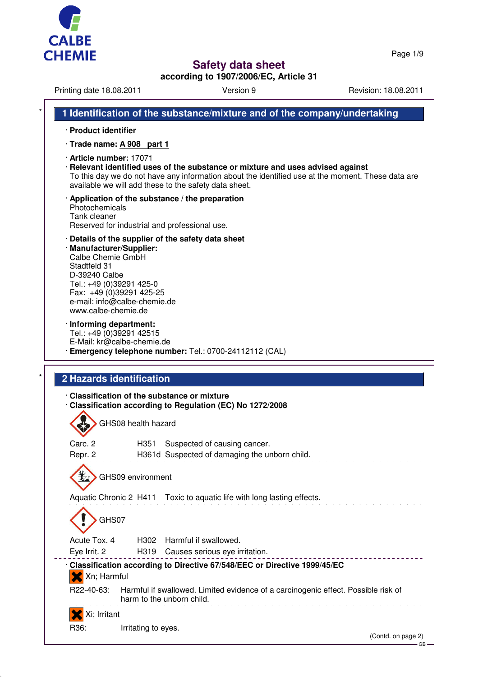

Page 1/9

GB

# **Safety data sheet**

**according to 1907/2006/EC, Article 31**

Printing date 18.08.2011 Version 9 Version 9 Revision: 18.08.2011

|                                                                                                                                                                                               | 1 Identification of the substance/mixture and of the company/undertaking                                                                                                                                                                      |
|-----------------------------------------------------------------------------------------------------------------------------------------------------------------------------------------------|-----------------------------------------------------------------------------------------------------------------------------------------------------------------------------------------------------------------------------------------------|
| · Product identifier                                                                                                                                                                          |                                                                                                                                                                                                                                               |
| $\cdot$ Trade name: A 908 part 1                                                                                                                                                              |                                                                                                                                                                                                                                               |
| · Article number: 17071                                                                                                                                                                       | · Relevant identified uses of the substance or mixture and uses advised against<br>To this day we do not have any information about the identified use at the moment. These data are<br>available we will add these to the safety data sheet. |
| Photochemicals<br>Tank cleaner<br>Reserved for industrial and professional use.                                                                                                               | $\cdot$ Application of the substance / the preparation                                                                                                                                                                                        |
| · Manufacturer/Supplier:<br>Calbe Chemie GmbH<br>Stadtfeld 31<br>D-39240 Calbe<br>Tel.: +49 (0)39291 425-0<br>Fax: +49 (0)39291 425-25<br>e-mail: info@calbe-chemie.de<br>www.calbe-chemie.de | Details of the supplier of the safety data sheet                                                                                                                                                                                              |
| · Informing department:<br>Tel.: +49 (0)39291 42515<br>E-Mail: kr@calbe-chemie.de                                                                                                             | Emergency telephone number: Tel.: 0700-24112112 (CAL)                                                                                                                                                                                         |
| <b>2 Hazards identification</b>                                                                                                                                                               |                                                                                                                                                                                                                                               |
|                                                                                                                                                                                               |                                                                                                                                                                                                                                               |
| Classification of the substance or mixture                                                                                                                                                    | Classification according to Regulation (EC) No 1272/2008                                                                                                                                                                                      |
| GHS08 health hazard                                                                                                                                                                           |                                                                                                                                                                                                                                               |
| Carc. 2<br>H351<br>Repr. 2                                                                                                                                                                    | Suspected of causing cancer.<br>H361d Suspected of damaging the unborn child.                                                                                                                                                                 |
| GHS09 environment                                                                                                                                                                             |                                                                                                                                                                                                                                               |
|                                                                                                                                                                                               | Aquatic Chronic 2 H411 Toxic to aquatic life with long lasting effects.                                                                                                                                                                       |
| GHS07                                                                                                                                                                                         |                                                                                                                                                                                                                                               |
| Acute Tox. 4<br>H302                                                                                                                                                                          | Harmful if swallowed.                                                                                                                                                                                                                         |
| Eye Irrit. 2                                                                                                                                                                                  | H319 Causes serious eye irritation.<br>Classification according to Directive 67/548/EEC or Directive 1999/45/EC                                                                                                                               |
| Xn; Harmful<br>R22-40-63:                                                                                                                                                                     | Harmful if swallowed. Limited evidence of a carcinogenic effect. Possible risk of<br>harm to the unborn child.                                                                                                                                |
| Xi; Irritant                                                                                                                                                                                  |                                                                                                                                                                                                                                               |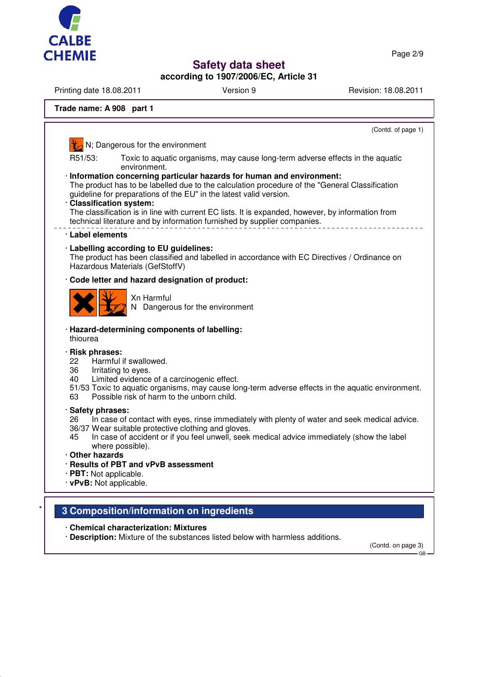

Page 2/9

# **Safety data sheet**

**according to 1907/2006/EC, Article 31**

Printing date 18.08.2011 **Version 9** Version 9 Revision: 18.08.2011

## **Trade name: A 908 part 1**

(Contd. of page 1) N; Dangerous for the environment R51/53: Toxic to aquatic organisms, may cause long-term adverse effects in the aquatic environment. · **Information concerning particular hazards for human and environment:** The product has to be labelled due to the calculation procedure of the "General Classification guideline for preparations of the EU" in the latest valid version. · **Classification system:** The classification is in line with current EC lists. It is expanded, however, by information from technical literature and by information furnished by supplier companies. · **Label elements** · **Labelling according to EU guidelines:** The product has been classified and labelled in accordance with EC Directives / Ordinance on Hazardous Materials (GefStoffV) · **Code letter and hazard designation of product:** Xn Harmful N Dangerous for the environment · **Hazard-determining components of labelling:** thiourea · **Risk phrases:** 22 Harmful if swallowed. 36 Irritating to eyes. 40 Limited evidence of a carcinogenic effect. 51/53 Toxic to aquatic organisms, may cause long-term adverse effects in the aquatic environment. 63 Possible risk of harm to the unborn child. · **Safety phrases:** 26 In case of contact with eyes, rinse immediately with plenty of water and seek medical advice. 36/37 Wear suitable protective clothing and gloves. 45 In case of accident or if you feel unwell, seek medical advice immediately (show the label where possible). · **Other hazards** · **Results of PBT and vPvB assessment** · **PBT:** Not applicable. · **vPvB:** Not applicable. \* **3 Composition/information on ingredients**

· **Chemical characterization: Mixtures**

· **Description:** Mixture of the substances listed below with harmless additions.

(Contd. on page 3) GB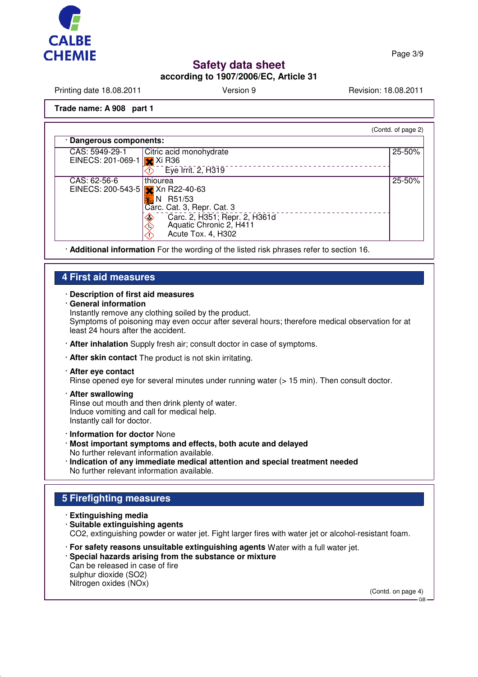

Page 3/9

# **Safety data sheet**

## **according to 1907/2006/EC, Article 31**

Printing date 18.08.2011 **Version 9** Version 9 Revision: 18.08.2011

(Contd. of page 2)

### **Trade name: A 908 part 1**

· **Dangerous components:** CAS: 5949-29-1 Citric acid monohydrate 25-50% EINECS: 201-069-1 X Xi R36  $\overline{\textcircled{1}}$  Eye Irrit. 2, H319 CAS: 62-56-6 thiourea 25-50% **X** Xn R22-40-63 EINECS: 200-543-5  $\overline{1}$ N R51/53 Carc. Cat. 3, Repr. Cat. 3 **Carc. 2, H351; Repr. 2, H361d**  Aquatic Chronic 2, H411 △ Acute Tox. 4, H302 ́∩

· **Additional information** For the wording of the listed risk phrases refer to section 16.

## **4 First aid measures**

### · **Description of first aid measures**

· **General information**

Instantly remove any clothing soiled by the product.

Symptoms of poisoning may even occur after several hours; therefore medical observation for at least 24 hours after the accident.

- · **After inhalation** Supply fresh air; consult doctor in case of symptoms.
- · **After skin contact** The product is not skin irritating.

### · **After eye contact**

Rinse opened eye for several minutes under running water (> 15 min). Then consult doctor.

- · **After swallowing** Rinse out mouth and then drink plenty of water. Induce vomiting and call for medical help. Instantly call for doctor.
- · **Information for doctor** None
- · **Most important symptoms and effects, both acute and delayed** No further relevant information available.
- · **Indication of any immediate medical attention and special treatment needed** No further relevant information available.

## **5 Firefighting measures**

#### · **Extinguishing media**

- · **Suitable extinguishing agents** CO2, extinguishing powder or water jet. Fight larger fires with water jet or alcohol-resistant foam.
- · **For safety reasons unsuitable extinguishing agents** Water with a full water jet.
- · **Special hazards arising from the substance or mixture** Can be released in case of fire sulphur dioxide (SO2)

Nitrogen oxides (NOx)

(Contd. on page 4)

GB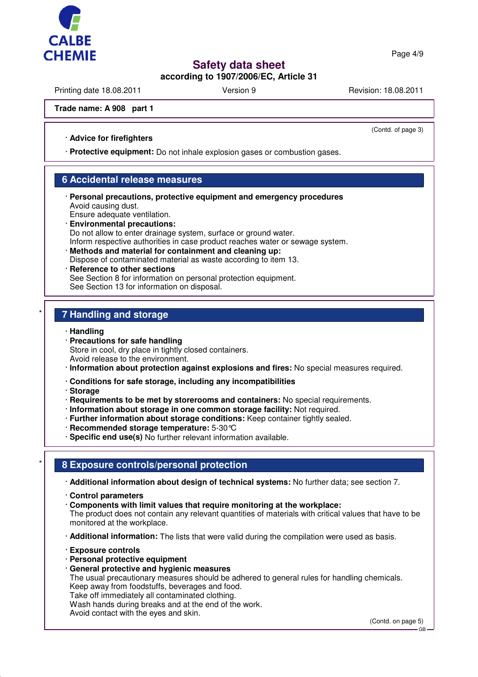

Page 4/9

# **Safety data sheet**

# **according to 1907/2006/EC, Article 31**

Printing date 18.08.2011 **Version 9** Version 9 Revision: 18.08.2011

(Contd. of page 3)

### **Trade name: A 908 part 1**

### · **Advice for firefighters**

· **Protective equipment:** Do not inhale explosion gases or combustion gases.

## **6 Accidental release measures**

- · **Personal precautions, protective equipment and emergency procedures** Avoid causing dust.
- Ensure adequate ventilation. · **Environmental precautions:** Do not allow to enter drainage system, surface or ground water. Inform respective authorities in case product reaches water or sewage system.
- · **Methods and material for containment and cleaning up:** Dispose of contaminated material as waste according to item 13.
- **Reference to other sections** See Section 8 for information on personal protection equipment. See Section 13 for information on disposal.

## \* **7 Handling and storage**

- · **Handling**
- · **Precautions for safe handling** Store in cool, dry place in tightly closed containers. Avoid release to the environment.
- · **Information about protection against explosions and fires:** No special measures required.
- · **Conditions for safe storage, including any incompatibilities**
- · **Storage**
- · **Requirements to be met by storerooms and containers:** No special requirements.
- · **Information about storage in one common storage facility:** Not required.
- · **Further information about storage conditions:** Keep container tightly sealed.
- · **Recommended storage temperature:** 5-30°C
- · **Specific end use(s)** No further relevant information available.

## \* **8 Exposure controls/personal protection**

· **Additional information about design of technical systems:** No further data; see section 7.

- · **Control parameters**
- · **Components with limit values that require monitoring at the workplace:**

The product does not contain any relevant quantities of materials with critical values that have to be monitored at the workplace.

· **Additional information:** The lists that were valid during the compilation were used as basis.

- · **Exposure controls**
- · **Personal protective equipment**
- · **General protective and hygienic measures**

The usual precautionary measures should be adhered to general rules for handling chemicals. Keep away from foodstuffs, beverages and food.

Take off immediately all contaminated clothing.

Wash hands during breaks and at the end of the work.

Avoid contact with the eyes and skin.

(Contd. on page 5)

GB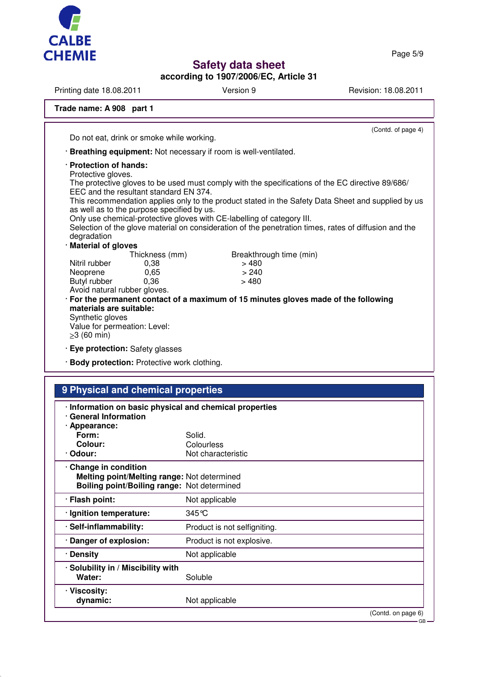

**according to 1907/2006/EC, Article 31**

Printing date 18.08.2011 **Version 9** Version 9 Revision: 18.08.2011

# **Trade name: A 908 part 1**

(Contd. of page 4) Do not eat, drink or smoke while working. · **Breathing equipment:** Not necessary if room is well-ventilated. · **Protection of hands:** Protective gloves. The protective gloves to be used must comply with the specifications of the EC directive 89/686/ EEC and the resultant standard EN 374. This recommendation applies only to the product stated in the Safety Data Sheet and supplied by us as well as to the purpose specified by us. Only use chemical-protective gloves with CE-labelling of category III. Selection of the glove material on consideration of the penetration times, rates of diffusion and the degradation · **Material of gloves** Thickness (mm) Breakthrough time (min) Nitril rubber 0,38 > 480 Neoprene 0,65 > 240<br>Butyl rubber 0.36 > 480 Butyl rubber Avoid natural rubber gloves. · **For the permanent contact of a maximum of 15 minutes gloves made of the following materials are suitable:** Synthetic gloves Value for permeation: Level: ≥3 (60 min) · **Eye protection:** Safety glasses · **Body protection:** Protective work clothing. **9 Physical and chemical properties**

| <u>U FIIYƏKAI AIN CIRINCAI DIVDELIRƏ</u>                                                                          |                              |                    |
|-------------------------------------------------------------------------------------------------------------------|------------------------------|--------------------|
| · Information on basic physical and chemical properties<br><b>General Information</b><br>· Appearance:            |                              |                    |
| Form:                                                                                                             | Solid.                       |                    |
| Colour:                                                                                                           | Colourless                   |                    |
| · Odour:                                                                                                          | Not characteristic           |                    |
| Change in condition<br>Melting point/Melting range: Not determined<br>Boiling point/Boiling range: Not determined |                              |                    |
| · Flash point:                                                                                                    | Not applicable               |                    |
| · Ignition temperature:                                                                                           | 345 °C                       |                    |
| · Self-inflammability:                                                                                            | Product is not selfigniting. |                    |
| · Danger of explosion:                                                                                            | Product is not explosive.    |                    |
| · Density                                                                                                         | Not applicable               |                    |
| · Solubility in / Miscibility with<br>Water:                                                                      | Soluble                      |                    |
| · Viscosity:<br>dynamic:                                                                                          | Not applicable               |                    |
|                                                                                                                   |                              | (Contd. on page 6) |
|                                                                                                                   |                              | · GB –             |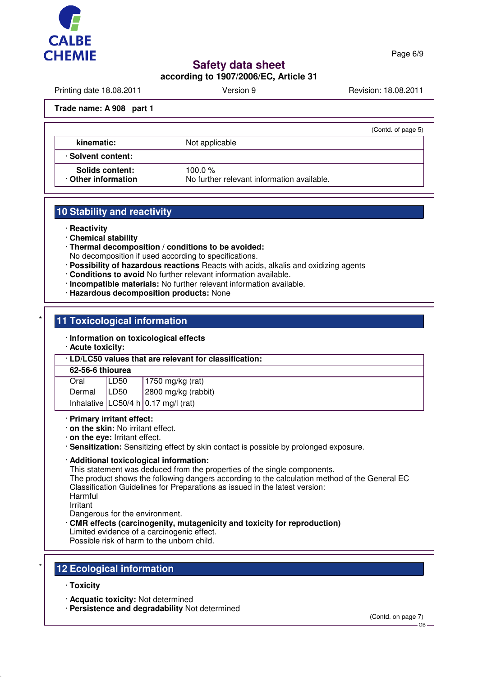

Page 6/9

# **Safety data sheet**

**according to 1907/2006/EC, Article 31**

Printing date 18.08.2011 **Version 9** Version 9 Revision: 18.08.2011

(Contd. of page 5)

### **Trade name: A 908 part 1**

**kinematic:** Not applicable

· **Solvent content:**

Solids content: 100.0 %

· **Other information** No further relevant information available.

## **10 Stability and reactivity**

· **Reactivity**

· **Chemical stability**

· **Thermal decomposition / conditions to be avoided:**

No decomposition if used according to specifications.

- · **Possibility of hazardous reactions** Reacts with acids, alkalis and oxidizing agents
- · **Conditions to avoid** No further relevant information available.
- · **Incompatible materials:** No further relevant information available.
- · **Hazardous decomposition products:** None

## **11 Toxicological information**

- · **Information on toxicological effects**
- · **Acute toxicity:**

· **LD/LC50 values that are relevant for classification:**

### **62-56-6 thiourea**

| Oral   | LD50 | $1750$ mg/kg (rat)                          |
|--------|------|---------------------------------------------|
| Dermal | LD50 | 2800 mg/kg (rabbit)                         |
|        |      | Inhalative $ $ LC50/4 h $ $ 0.17 mg/l (rat) |

#### · **Primary irritant effect:**

- · **on the skin:** No irritant effect.
- · **on the eye:** Irritant effect.
- · **Sensitization:** Sensitizing effect by skin contact is possible by prolonged exposure.

### · **Additional toxicological information:**

This statement was deduced from the properties of the single components.

The product shows the following dangers according to the calculation method of the General EC Classification Guidelines for Preparations as issued in the latest version: Harmful

Irritant

Dangerous for the environment.

- · **CMR effects (carcinogenity, mutagenicity and toxicity for reproduction)**
- Limited evidence of a carcinogenic effect.
- Possible risk of harm to the unborn child.

## **12 Ecological information**

- · **Toxicity**
- · **Acquatic toxicity:** Not determined
- · **Persistence and degradability** Not determined

(Contd. on page 7)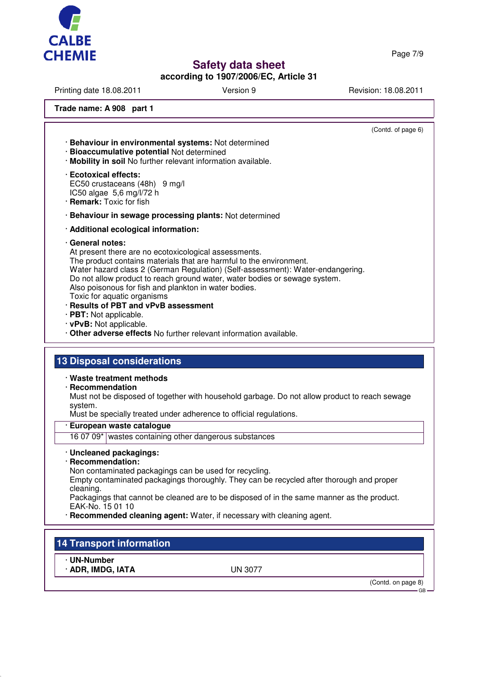

Page 7/9

# **Safety data sheet**

## **according to 1907/2006/EC, Article 31**

Printing date 18.08.2011 **Version 9** Version 9 Revision: 18.08.2011

**Trade name: A 908 part 1**

(Contd. of page 6) · **Behaviour in environmental systems:** Not determined · **Bioaccumulative potential** Not determined · **Mobility in soil** No further relevant information available. · **Ecotoxical effects:** EC50 crustaceans (48h) 9 mg/l IC50 algae 5,6 mg/l/72 h · **Remark:** Toxic for fish · **Behaviour in sewage processing plants:** Not determined · **Additional ecological information:** · **General notes:** At present there are no ecotoxicological assessments. The product contains materials that are harmful to the environment. Water hazard class 2 (German Regulation) (Self-assessment): Water-endangering. Do not allow product to reach ground water, water bodies or sewage system. Also poisonous for fish and plankton in water bodies. Toxic for aquatic organisms · **Results of PBT and vPvB assessment** · **PBT:** Not applicable. · **vPvB:** Not applicable. · **Other adverse effects** No further relevant information available. **13 Disposal considerations** · **Waste treatment methods** · **Recommendation** Must not be disposed of together with household garbage. Do not allow product to reach sewage system. Must be specially treated under adherence to official regulations. · **European waste catalogue** 16 07 09\* wastes containing other dangerous substances · **Uncleaned packagings:** · **Recommendation:** Non contaminated packagings can be used for recycling. Empty contaminated packagings thoroughly. They can be recycled after thorough and proper cleaning. Packagings that cannot be cleaned are to be disposed of in the same manner as the product. EAK-No. 15 01 10 · **Recommended cleaning agent:** Water, if necessary with cleaning agent.

# **14 Transport information**

· **UN-Number**

· **ADR, IMDG, IATA** UN 3077

(Contd. on page 8)

GB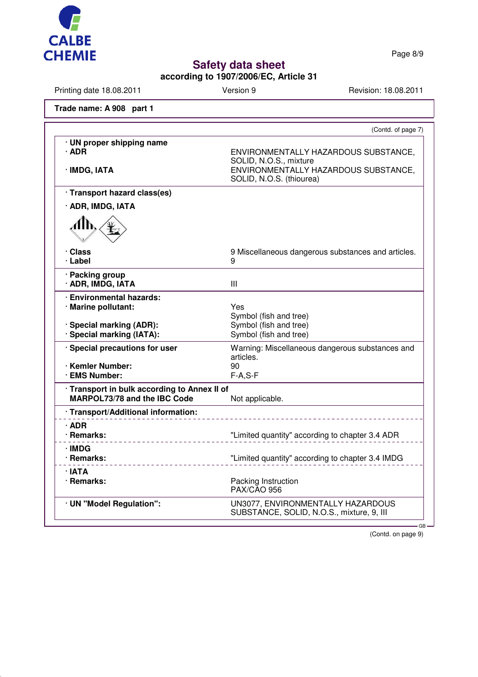

Page 8/9

# **Safety data sheet**

**according to 1907/2006/EC, Article 31**

Printing date 18.08.2011 Version 9 Version 9 Revision: 18.08.2011

**Trade name: A 908 part 1**

| · UN proper shipping name<br>$\cdot$ ADR<br>ENVIRONMENTALLY HAZARDOUS SUBSTANCE,<br>SOLID, N.O.S., mixture<br>ENVIRONMENTALLY HAZARDOUS SUBSTANCE,<br>· IMDG, IATA<br>SOLID, N.O.S. (thiourea)<br>· Transport hazard class(es)<br>· ADR, IMDG, IATA<br>4h,<br>· Class<br>9 Miscellaneous dangerous substances and articles.<br>· Label<br>9<br>· Packing group<br>· ADR, IMDG, IATA<br>Ш<br><b>Environmental hazards:</b><br>· Marine pollutant:<br>Yes<br>Symbol (fish and tree)<br>Symbol (fish and tree)<br>· Special marking (ADR):<br>· Special marking (IATA):<br>Symbol (fish and tree)<br>· Special precautions for user<br>Warning: Miscellaneous dangerous substances and<br>articles.<br>· Kemler Number:<br>90<br>· EMS Number:<br>$F-A, S-F$<br>· Transport in bulk according to Annex II of<br>MARPOL73/78 and the IBC Code<br>Not applicable.<br>· Transport/Additional information:<br>∙ ADR<br>· Remarks:<br>"Limited quantity" according to chapter 3.4 ADR<br>∙IMDG<br>· Remarks:<br>"Limited quantity" according to chapter 3.4 IMDG<br>· IATA<br>· Remarks:<br>Packing Instruction<br><b>PAX/CAO 956</b><br>· UN "Model Regulation":<br>UN3077, ENVIRONMENTALLY HAZARDOUS | (Contd. of page 7)                        |
|------------------------------------------------------------------------------------------------------------------------------------------------------------------------------------------------------------------------------------------------------------------------------------------------------------------------------------------------------------------------------------------------------------------------------------------------------------------------------------------------------------------------------------------------------------------------------------------------------------------------------------------------------------------------------------------------------------------------------------------------------------------------------------------------------------------------------------------------------------------------------------------------------------------------------------------------------------------------------------------------------------------------------------------------------------------------------------------------------------------------------------------------------------------------------------------------|-------------------------------------------|
|                                                                                                                                                                                                                                                                                                                                                                                                                                                                                                                                                                                                                                                                                                                                                                                                                                                                                                                                                                                                                                                                                                                                                                                                |                                           |
|                                                                                                                                                                                                                                                                                                                                                                                                                                                                                                                                                                                                                                                                                                                                                                                                                                                                                                                                                                                                                                                                                                                                                                                                |                                           |
|                                                                                                                                                                                                                                                                                                                                                                                                                                                                                                                                                                                                                                                                                                                                                                                                                                                                                                                                                                                                                                                                                                                                                                                                |                                           |
|                                                                                                                                                                                                                                                                                                                                                                                                                                                                                                                                                                                                                                                                                                                                                                                                                                                                                                                                                                                                                                                                                                                                                                                                |                                           |
|                                                                                                                                                                                                                                                                                                                                                                                                                                                                                                                                                                                                                                                                                                                                                                                                                                                                                                                                                                                                                                                                                                                                                                                                |                                           |
|                                                                                                                                                                                                                                                                                                                                                                                                                                                                                                                                                                                                                                                                                                                                                                                                                                                                                                                                                                                                                                                                                                                                                                                                |                                           |
|                                                                                                                                                                                                                                                                                                                                                                                                                                                                                                                                                                                                                                                                                                                                                                                                                                                                                                                                                                                                                                                                                                                                                                                                |                                           |
|                                                                                                                                                                                                                                                                                                                                                                                                                                                                                                                                                                                                                                                                                                                                                                                                                                                                                                                                                                                                                                                                                                                                                                                                |                                           |
|                                                                                                                                                                                                                                                                                                                                                                                                                                                                                                                                                                                                                                                                                                                                                                                                                                                                                                                                                                                                                                                                                                                                                                                                |                                           |
|                                                                                                                                                                                                                                                                                                                                                                                                                                                                                                                                                                                                                                                                                                                                                                                                                                                                                                                                                                                                                                                                                                                                                                                                |                                           |
|                                                                                                                                                                                                                                                                                                                                                                                                                                                                                                                                                                                                                                                                                                                                                                                                                                                                                                                                                                                                                                                                                                                                                                                                |                                           |
|                                                                                                                                                                                                                                                                                                                                                                                                                                                                                                                                                                                                                                                                                                                                                                                                                                                                                                                                                                                                                                                                                                                                                                                                |                                           |
|                                                                                                                                                                                                                                                                                                                                                                                                                                                                                                                                                                                                                                                                                                                                                                                                                                                                                                                                                                                                                                                                                                                                                                                                |                                           |
|                                                                                                                                                                                                                                                                                                                                                                                                                                                                                                                                                                                                                                                                                                                                                                                                                                                                                                                                                                                                                                                                                                                                                                                                |                                           |
|                                                                                                                                                                                                                                                                                                                                                                                                                                                                                                                                                                                                                                                                                                                                                                                                                                                                                                                                                                                                                                                                                                                                                                                                |                                           |
|                                                                                                                                                                                                                                                                                                                                                                                                                                                                                                                                                                                                                                                                                                                                                                                                                                                                                                                                                                                                                                                                                                                                                                                                | SUBSTANCE, SOLID, N.O.S., mixture, 9, III |

(Contd. on page 9)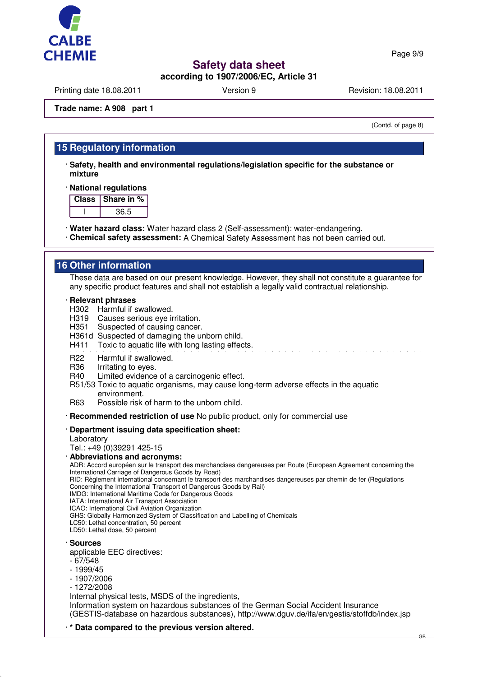

Page 9/9

# **Safety data sheet**

## **according to 1907/2006/EC, Article 31**

Printing date 18.08.2011 **Version 9** Version 9 Revision: 18.08.2011

#### **Trade name: A 908 part 1**

(Contd. of page 8)

## **15 Regulatory information**

· **Safety, health and environmental regulations/legislation specific for the substance or mixture**

#### · **National regulations**

| Class. | ∣ Share in % |
|--------|--------------|
|        | 36.5         |

· **Water hazard class:** Water hazard class 2 (Self-assessment): water-endangering.

· **Chemical safety assessment:** A Chemical Safety Assessment has not been carried out.

## **16 Other information**

These data are based on our present knowledge. However, they shall not constitute a guarantee for any specific product features and shall not establish a legally valid contractual relationship.

#### · **Relevant phrases**

- H302 Harmful if swallowed.
- H<sub>319</sub> Causes serious eve irritation.
- H351 Suspected of causing cancer.
- H361d Suspected of damaging the unborn child.
- H411 Toxic to aquatic life with long lasting effects.
- R22 Harmful if swallowed.
- R36 Irritating to eyes.
- R40 Limited evidence of a carcinogenic effect.
- R51/53 Toxic to aquatic organisms, may cause long-term adverse effects in the aquatic environment.
- R63 Possible risk of harm to the unborn child.

· **Recommended restriction of use** No public product, only for commercial use

· **Department issuing data specification sheet:**

Laboratory

Tel.: +49 (0)39291 425-15

- · **Abbreviations and acronyms:**
- ADR: Accord européen sur le transport des marchandises dangereuses par Route (European Agreement concerning the International Carriage of Dangerous Goods by Road)

RID: Règlement international concernant le transport des marchandises dangereuses par chemin de fer (Regulations Concerning the International Transport of Dangerous Goods by Rail)

IMDG: International Maritime Code for Dangerous Goods

IATA: International Air Transport Association

ICAO: International Civil Aviation Organization

GHS: Globally Harmonized System of Classification and Labelling of Chemicals

- LC50: Lethal concentration, 50 percent
- LD50: Lethal dose, 50 percent

· **Sources**

applicable EEC directives:

- 67/548
- 1999/45
- 1907/2006
- 1272/2008

Internal physical tests, MSDS of the ingredients,

Information system on hazardous substances of the German Social Accident Insurance (GESTIS-database on hazardous substances), http://www.dguv.de/ifa/en/gestis/stoffdb/index.jsp

· **\* Data compared to the previous version altered.**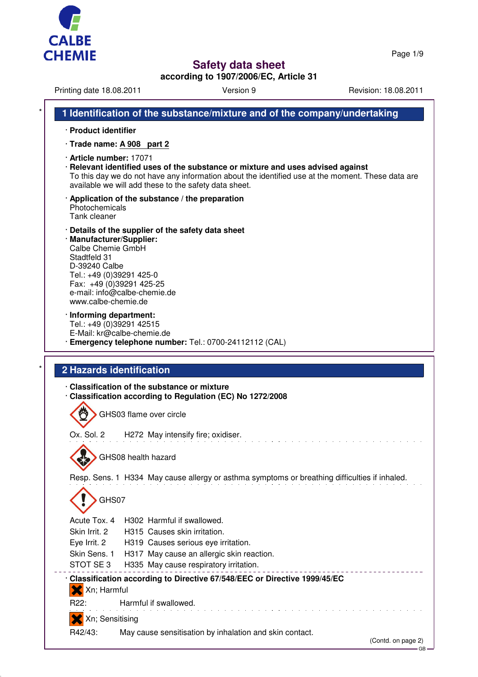



**according to 1907/2006/EC, Article 31**

|                                                                                                                                                                                                                                                   | Version 9                                                                                                                                                                            | Revision: 18.08.2011 |
|---------------------------------------------------------------------------------------------------------------------------------------------------------------------------------------------------------------------------------------------------|--------------------------------------------------------------------------------------------------------------------------------------------------------------------------------------|----------------------|
|                                                                                                                                                                                                                                                   | 1 Identification of the substance/mixture and of the company/undertaking                                                                                                             |                      |
| · Product identifier                                                                                                                                                                                                                              |                                                                                                                                                                                      |                      |
| · Trade name: A 908 part 2                                                                                                                                                                                                                        |                                                                                                                                                                                      |                      |
| · Article number: 17071<br>available we will add these to the safety data sheet.                                                                                                                                                                  | · Relevant identified uses of the substance or mixture and uses advised against<br>To this day we do not have any information about the identified use at the moment. These data are |                      |
| $\cdot$ Application of the substance / the preparation<br>Photochemicals<br>Tank cleaner                                                                                                                                                          |                                                                                                                                                                                      |                      |
| Details of the supplier of the safety data sheet<br>· Manufacturer/Supplier:<br>Calbe Chemie GmbH<br>Stadtfeld 31<br>D-39240 Calbe<br>Tel.: +49 (0)39291 425-0<br>Fax: +49 (0)39291 425-25<br>e-mail: info@calbe-chemie.de<br>www.calbe-chemie.de |                                                                                                                                                                                      |                      |
| · Informing department:<br>Tel.: +49 (0)39291 42515<br>E-Mail: kr@calbe-chemie.de                                                                                                                                                                 | · Emergency telephone number: Tel.: 0700-24112112 (CAL)                                                                                                                              |                      |
| <b>2 Hazards identification</b>                                                                                                                                                                                                                   |                                                                                                                                                                                      |                      |
| Classification of the substance or mixture                                                                                                                                                                                                        | Classification according to Regulation (EC) No 1272/2008                                                                                                                             |                      |
| GHS03 flame over circle                                                                                                                                                                                                                           |                                                                                                                                                                                      |                      |
| Ox. Sol. 2                                                                                                                                                                                                                                        | H272 May intensify fire; oxidiser.                                                                                                                                                   |                      |
| GHS08 health hazard                                                                                                                                                                                                                               |                                                                                                                                                                                      |                      |
|                                                                                                                                                                                                                                                   | Resp. Sens. 1 H334 May cause allergy or asthma symptoms or breathing difficulties if inhaled.                                                                                        |                      |
|                                                                                                                                                                                                                                                   |                                                                                                                                                                                      |                      |
| GHS07                                                                                                                                                                                                                                             |                                                                                                                                                                                      |                      |
| Acute Tox, 4<br>H302 Harmful if swallowed.                                                                                                                                                                                                        |                                                                                                                                                                                      |                      |
| Skin Irrit. 2<br>H315 Causes skin irritation.                                                                                                                                                                                                     |                                                                                                                                                                                      |                      |
| Eye Irrit. 2<br>Skin Sens. 1                                                                                                                                                                                                                      | H319 Causes serious eye irritation.                                                                                                                                                  |                      |
| STOT SE3                                                                                                                                                                                                                                          | H317 May cause an allergic skin reaction.<br>H335 May cause respiratory irritation.                                                                                                  |                      |
|                                                                                                                                                                                                                                                   | · Classification according to Directive 67/548/EEC or Directive 1999/45/EC                                                                                                           |                      |
| X Xn; Harmful<br>Harmful if swallowed.<br>R22:                                                                                                                                                                                                    |                                                                                                                                                                                      |                      |
| Xn; Sensitising                                                                                                                                                                                                                                   |                                                                                                                                                                                      |                      |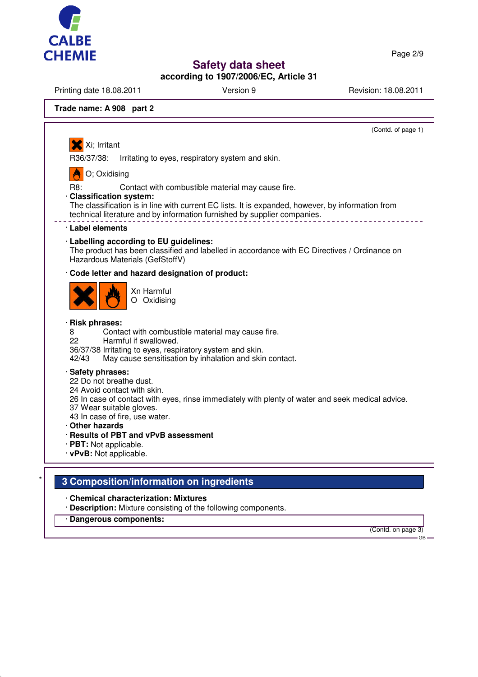

Page 2/9

# **Safety data sheet**

**according to 1907/2006/EC, Article 31**

Printing date 18.08.2011 Version 9 Version 9 Revision: 18.08.2011

## **Trade name: A 908 part 2**

|                                                                                           | (Contd. of page 1)                                                                                                                                                                                                                 |
|-------------------------------------------------------------------------------------------|------------------------------------------------------------------------------------------------------------------------------------------------------------------------------------------------------------------------------------|
| Xi; Irritant                                                                              |                                                                                                                                                                                                                                    |
| R36/37/38:                                                                                | Irritating to eyes, respiratory system and skin.                                                                                                                                                                                   |
| O; Oxidising                                                                              |                                                                                                                                                                                                                                    |
| R8:<br>· Classification system:                                                           | Contact with combustible material may cause fire.<br>The classification is in line with current EC lists. It is expanded, however, by information from<br>technical literature and by information furnished by supplier companies. |
| Label elements                                                                            |                                                                                                                                                                                                                                    |
|                                                                                           | · Labelling according to EU guidelines:<br>The product has been classified and labelled in accordance with EC Directives / Ordinance on<br>Hazardous Materials (GefStoffV)                                                         |
|                                                                                           | · Code letter and hazard designation of product:                                                                                                                                                                                   |
|                                                                                           | Xn Harmful<br>O Oxidising                                                                                                                                                                                                          |
| <b>Risk phrases:</b><br>8<br>22<br>42/43                                                  | Contact with combustible material may cause fire.<br>Harmful if swallowed.<br>36/37/38 Irritating to eyes, respiratory system and skin.<br>May cause sensitisation by inhalation and skin contact.                                 |
| · Safety phrases:<br>22 Do not breathe dust.<br>37 Wear suitable gloves.<br>Other hazards | 24 Avoid contact with skin.<br>26 In case of contact with eyes, rinse immediately with plenty of water and seek medical advice.<br>43 In case of fire, use water.<br>· Results of PBT and vPvB assessment                          |

- · **Description:** Mixture consisting of the following components.
- · **Dangerous components:**

(Contd. on page 3)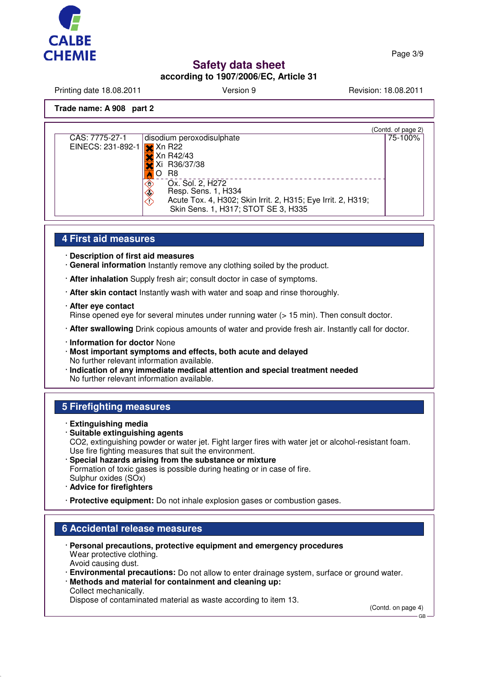

Page 3/9

# **Safety data sheet**

**according to 1907/2006/EC, Article 31**

Printing date 18.08.2011 **Version 9** Version 9 Revision: 18.08.2011

### **Trade name: A 908 part 2**

| (Contd. of page 2) |
|--------------------|
| 75-100%            |
|                    |
|                    |
|                    |
|                    |
|                    |
|                    |
|                    |
|                    |
|                    |

### **4 First aid measures**

· **Description of first aid measures**

- · **General information** Instantly remove any clothing soiled by the product.
- · **After inhalation** Supply fresh air; consult doctor in case of symptoms.
- · **After skin contact** Instantly wash with water and soap and rinse thoroughly.
- · **After eye contact**

Rinse opened eye for several minutes under running water (> 15 min). Then consult doctor.

- · **After swallowing** Drink copious amounts of water and provide fresh air. Instantly call for doctor.
- · **Information for doctor** None
- · **Most important symptoms and effects, both acute and delayed** No further relevant information available.
- · **Indication of any immediate medical attention and special treatment needed** No further relevant information available.

## **5 Firefighting measures**

- · **Extinguishing media**
- · **Suitable extinguishing agents** CO2, extinguishing powder or water jet. Fight larger fires with water jet or alcohol-resistant foam. Use fire fighting measures that suit the environment.
- · **Special hazards arising from the substance or mixture** Formation of toxic gases is possible during heating or in case of fire. Sulphur oxides (SOx)
- · **Advice for firefighters**
- · **Protective equipment:** Do not inhale explosion gases or combustion gases.

## **6 Accidental release measures**

- · **Personal precautions, protective equipment and emergency procedures** Wear protective clothing. Avoid causing dust.
- · **Environmental precautions:** Do not allow to enter drainage system, surface or ground water.
- · **Methods and material for containment and cleaning up:** Collect mechanically.

Dispose of contaminated material as waste according to item 13.

(Contd. on page 4) GB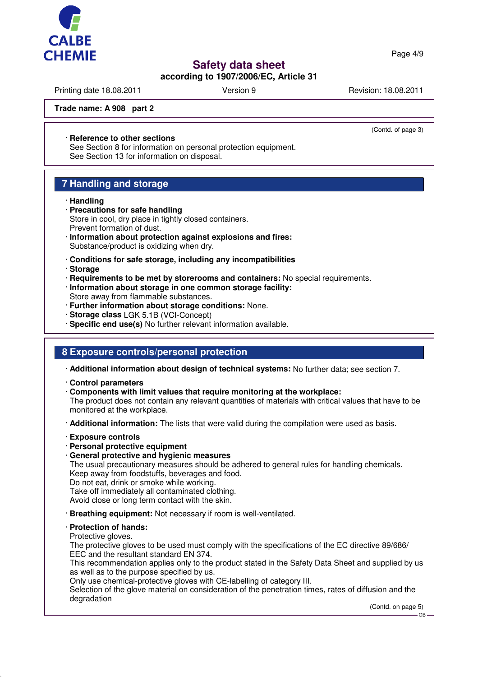

Page 4/9

# **Safety data sheet**

## **according to 1907/2006/EC, Article 31**

Printing date 18.08.2011 **Version 9** Version 9 Revision: 18.08.2011

(Contd. of page 3)

**Trade name: A 908 part 2**

### · **Reference to other sections**

See Section 8 for information on personal protection equipment. See Section 13 for information on disposal.

## **7 Handling and storage**

### · **Handling**

- · **Precautions for safe handling** Store in cool, dry place in tightly closed containers. Prevent formation of dust.
- · **Information about protection against explosions and fires:** Substance/product is oxidizing when dry.
- · **Conditions for safe storage, including any incompatibilities**
- · **Storage**
- · **Requirements to be met by storerooms and containers:** No special requirements.
- · **Information about storage in one common storage facility:** Store away from flammable substances.
- · **Further information about storage conditions:** None.
- · **Storage class** LGK 5.1B (VCI-Concept)
- · **Specific end use(s)** No further relevant information available.

## **8 Exposure controls/personal protection**

· **Additional information about design of technical systems:** No further data; see section 7.

- · **Control parameters**
- · **Components with limit values that require monitoring at the workplace:**

The product does not contain any relevant quantities of materials with critical values that have to be monitored at the workplace.

- · **Additional information:** The lists that were valid during the compilation were used as basis.
- · **Exposure controls**
- · **Personal protective equipment**
- · **General protective and hygienic measures**

The usual precautionary measures should be adhered to general rules for handling chemicals. Keep away from foodstuffs, beverages and food.

Do not eat, drink or smoke while working.

Take off immediately all contaminated clothing.

Avoid close or long term contact with the skin.

· **Breathing equipment:** Not necessary if room is well-ventilated.

### · **Protection of hands:**

Protective gloves.

The protective gloves to be used must comply with the specifications of the EC directive 89/686/ EEC and the resultant standard EN 374.

This recommendation applies only to the product stated in the Safety Data Sheet and supplied by us as well as to the purpose specified by us.

Only use chemical-protective gloves with CE-labelling of category III.

Selection of the glove material on consideration of the penetration times, rates of diffusion and the degradation

(Contd. on page 5)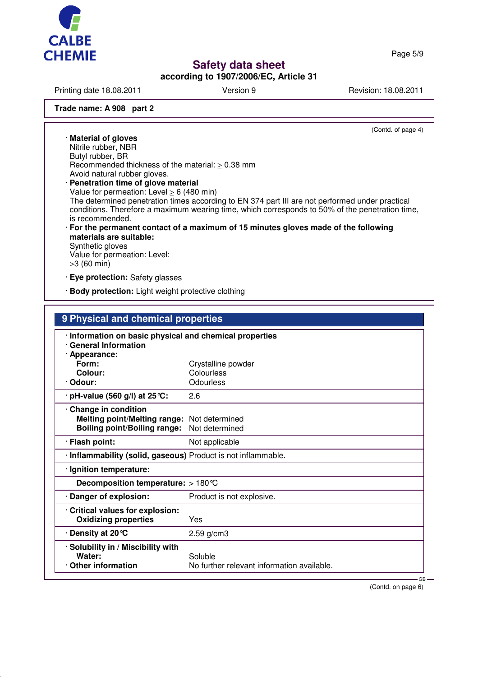

Page 5/9

# **Safety data sheet**

**according to 1907/2006/EC, Article 31**

Printing date 18.08.2011 **Version 9** Version 9 Revision: 18.08.2011

### **Trade name: A 908 part 2**

(Contd. of page 4)

· **Material of gloves** Nitrile rubber, NBR Butyl rubber, BR Recommended thickness of the material: ≥ 0.38 mm Avoid natural rubber gloves. · **Penetration time of glove material** Value for permeation: Level > 6 (480 min)

The determined penetration times according to EN 374 part III are not performed under practical conditions. Therefore a maximum wearing time, which corresponds to 50% of the penetration time, is recommended.

· **For the permanent contact of a maximum of 15 minutes gloves made of the following materials are suitable:** Synthetic gloves

Value for permeation: Level: ≥3 (60 min)

· **Eye protection:** Safety glasses

· **Body protection:** Light weight protective clothing

| · Information on basic physical and chemical properties<br><b>General Information</b><br>· Appearance:<br>Form:<br>Crystalline powder<br>Colour:<br>Colourless<br>Odourless<br>· Odour:<br>$\cdot$ pH-value (560 g/l) at 25 °C:<br>2.6<br>Change in condition<br><b>Melting point/Melting range:</b><br>Not determined<br><b>Boiling point/Boiling range:</b><br>Not determined<br>· Flash point:<br>Not applicable<br>· Inflammability (solid, gaseous) Product is not inflammable.<br>· Ignition temperature:<br>Decomposition temperature: $>180^{\circ}$ C<br>· Danger of explosion:<br>Product is not explosive.<br>Critical values for explosion:<br><b>Oxidizing properties</b><br>Yes<br>. Density at 20 ℃<br>2.59 g/cm3<br>· Solubility in / Miscibility with<br>Water:<br>Soluble<br>Other information<br>No further relevant information available. | 9 Physical and chemical properties |  |  |  |
|----------------------------------------------------------------------------------------------------------------------------------------------------------------------------------------------------------------------------------------------------------------------------------------------------------------------------------------------------------------------------------------------------------------------------------------------------------------------------------------------------------------------------------------------------------------------------------------------------------------------------------------------------------------------------------------------------------------------------------------------------------------------------------------------------------------------------------------------------------------|------------------------------------|--|--|--|
|                                                                                                                                                                                                                                                                                                                                                                                                                                                                                                                                                                                                                                                                                                                                                                                                                                                                |                                    |  |  |  |
|                                                                                                                                                                                                                                                                                                                                                                                                                                                                                                                                                                                                                                                                                                                                                                                                                                                                |                                    |  |  |  |
|                                                                                                                                                                                                                                                                                                                                                                                                                                                                                                                                                                                                                                                                                                                                                                                                                                                                |                                    |  |  |  |
|                                                                                                                                                                                                                                                                                                                                                                                                                                                                                                                                                                                                                                                                                                                                                                                                                                                                |                                    |  |  |  |
|                                                                                                                                                                                                                                                                                                                                                                                                                                                                                                                                                                                                                                                                                                                                                                                                                                                                |                                    |  |  |  |
|                                                                                                                                                                                                                                                                                                                                                                                                                                                                                                                                                                                                                                                                                                                                                                                                                                                                |                                    |  |  |  |
|                                                                                                                                                                                                                                                                                                                                                                                                                                                                                                                                                                                                                                                                                                                                                                                                                                                                |                                    |  |  |  |
|                                                                                                                                                                                                                                                                                                                                                                                                                                                                                                                                                                                                                                                                                                                                                                                                                                                                |                                    |  |  |  |
|                                                                                                                                                                                                                                                                                                                                                                                                                                                                                                                                                                                                                                                                                                                                                                                                                                                                |                                    |  |  |  |
|                                                                                                                                                                                                                                                                                                                                                                                                                                                                                                                                                                                                                                                                                                                                                                                                                                                                |                                    |  |  |  |
|                                                                                                                                                                                                                                                                                                                                                                                                                                                                                                                                                                                                                                                                                                                                                                                                                                                                |                                    |  |  |  |
|                                                                                                                                                                                                                                                                                                                                                                                                                                                                                                                                                                                                                                                                                                                                                                                                                                                                |                                    |  |  |  |
|                                                                                                                                                                                                                                                                                                                                                                                                                                                                                                                                                                                                                                                                                                                                                                                                                                                                |                                    |  |  |  |
|                                                                                                                                                                                                                                                                                                                                                                                                                                                                                                                                                                                                                                                                                                                                                                                                                                                                |                                    |  |  |  |

(Contd. on page 6)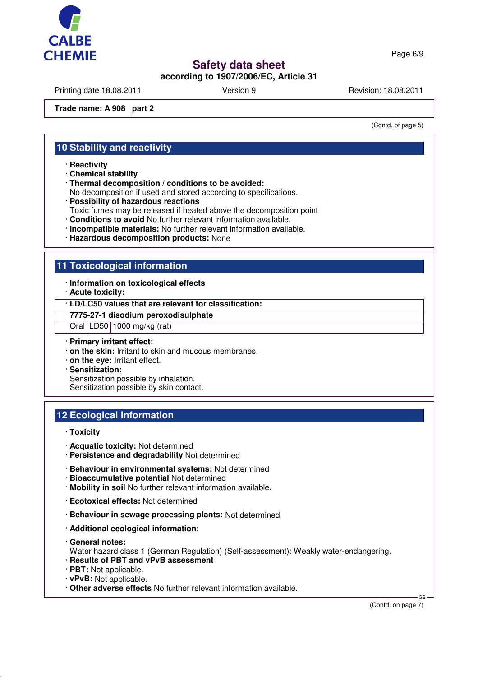

## **according to 1907/2006/EC, Article 31**

Printing date 18.08.2011 **Version 9** Version 9 Revision: 18.08.2011

### **Trade name: A 908 part 2**

(Contd. of page 5)

## **10 Stability and reactivity**

- · **Reactivity**
- · **Chemical stability**
- · **Thermal decomposition / conditions to be avoided:**
- No decomposition if used and stored according to specifications.
- · **Possibility of hazardous reactions**
- Toxic fumes may be released if heated above the decomposition point
- · **Conditions to avoid** No further relevant information available.
- · **Incompatible materials:** No further relevant information available.
- · **Hazardous decomposition products:** None

## **11 Toxicological information**

- · **Information on toxicological effects**
- · **Acute toxicity:**
- · **LD/LC50 values that are relevant for classification:**

#### **7775-27-1 disodium peroxodisulphate**

Oral LD50 1000 mg/kg (rat)

### · **Primary irritant effect:**

- · **on the skin:** Irritant to skin and mucous membranes.
- · **on the eye:** Irritant effect.
- · **Sensitization:** Sensitization possible by inhalation.
- Sensitization possible by skin contact.

## **12 Ecological information**

- · **Toxicity**
- · **Acquatic toxicity:** Not determined
- · **Persistence and degradability** Not determined
- · **Behaviour in environmental systems:** Not determined
- · **Bioaccumulative potential** Not determined
- · **Mobility in soil** No further relevant information available.
- · **Ecotoxical effects:** Not determined
- · **Behaviour in sewage processing plants:** Not determined
- · **Additional ecological information:**
- · **General notes:**
- Water hazard class 1 (German Regulation) (Self-assessment): Weakly water-endangering.
- · **Results of PBT and vPvB assessment**
- · **PBT:** Not applicable.
- · **vPvB:** Not applicable.
- · **Other adverse effects** No further relevant information available.

(Contd. on page 7)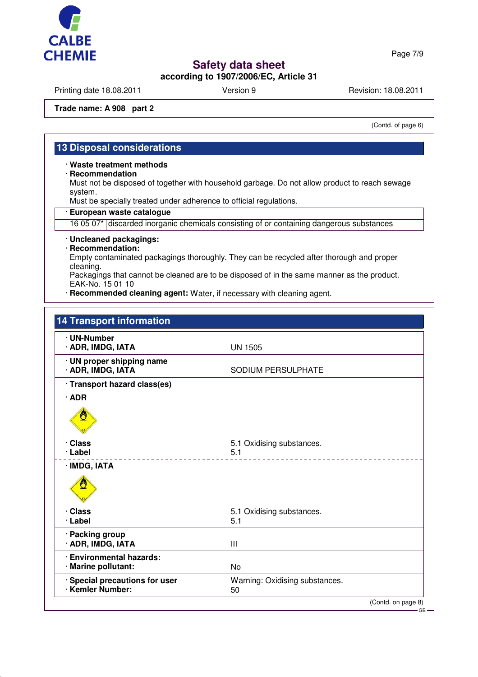

# **according to 1907/2006/EC, Article 31**

Printing date 18.08.2011 **Version 9** Version 9 Revision: 18.08.2011

### **Trade name: A 908 part 2**

(Contd. of page 6)

Page 7/9

## **13 Disposal considerations**

### · **Waste treatment methods**

· **Recommendation**

Must not be disposed of together with household garbage. Do not allow product to reach sewage system.

Must be specially treated under adherence to official regulations.

· **European waste catalogue**

16 05 07\* discarded inorganic chemicals consisting of or containing dangerous substances

## · **Uncleaned packagings:**

· **Recommendation:**

Empty contaminated packagings thoroughly. They can be recycled after thorough and proper cleaning.

Packagings that cannot be cleaned are to be disposed of in the same manner as the product. EAK-No. 15 01 10

· **Recommended cleaning agent:** Water, if necessary with cleaning agent.

| <b>14 Transport information</b>                      |                                      |                    |
|------------------------------------------------------|--------------------------------------|--------------------|
| · UN-Number<br>· ADR, IMDG, IATA                     | <b>UN 1505</b>                       |                    |
| · UN proper shipping name<br>· ADR, IMDG, IATA       | SODIUM PERSULPHATE                   |                    |
| · Transport hazard class(es)                         |                                      |                    |
| $\cdot$ ADR                                          |                                      |                    |
|                                                      |                                      |                    |
| · Class                                              | 5.1 Oxidising substances.            |                    |
| · Label                                              | 5.1                                  |                    |
| · IMDG, IATA                                         |                                      |                    |
| · Class                                              | 5.1 Oxidising substances.            |                    |
| · Label                                              | 5.1                                  |                    |
| · Packing group<br>· ADR, IMDG, IATA                 | Ш                                    |                    |
| <b>Environmental hazards:</b><br>· Marine pollutant: | No                                   |                    |
| · Special precautions for user<br>· Kemler Number:   | Warning: Oxidising substances.<br>50 |                    |
|                                                      |                                      | (Contd. on page 8) |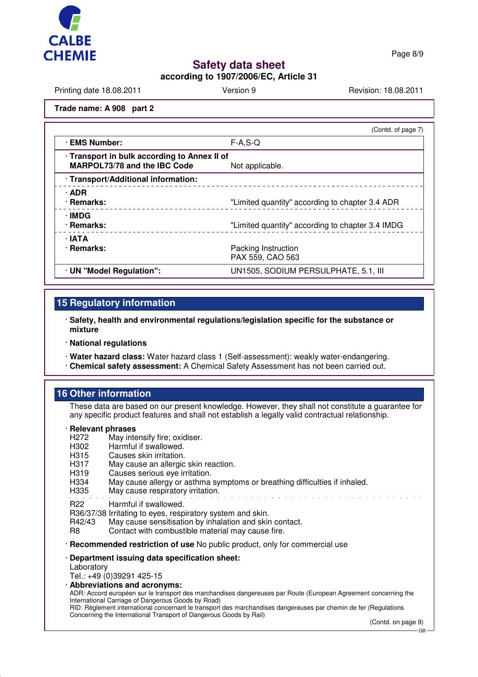

Page 8/9

# **Safety data sheet**

**according to 1907/2006/EC, Article 31**

Printing date 18.08.2011 **Version 9** Version 9 Revision: 18.08.2011

### **Trade name: A 908 part 2**

| (Contd. of page 7)                                              |
|-----------------------------------------------------------------|
| $F-A, S-Q$                                                      |
| · Transport in bulk according to Annex II of<br>Not applicable. |
|                                                                 |
| "Limited quantity" according to chapter 3.4 ADR                 |
| "Limited quantity" according to chapter 3.4 IMDG                |
| Packing Instruction<br>PAX 559, CAO 563                         |
| UN1505, SODIUM PERSULPHATE, 5.1, III                            |
|                                                                 |

## **15 Regulatory information**

- · **Safety, health and environmental regulations/legislation specific for the substance or mixture**
- · **National regulations**
- · **Water hazard class:** Water hazard class 1 (Self-assessment): weakly water-endangering.
- · **Chemical safety assessment:** A Chemical Safety Assessment has not been carried out.

## **16 Other information**

These data are based on our present knowledge. However, they shall not constitute a guarantee for any specific product features and shall not establish a legally valid contractual relationship.

#### · **Relevant phrases**

- H272 May intensify fire; oxidiser.<br>H302 Harmful if swallowed.
- H<sub>302</sub> Harmful if swallowed.<br>H<sub>315</sub> Causes skin irritation.
- Causes skin irritation.
- H317 May cause an allergic skin reaction.
- H319 Causes serious eye irritation.<br>H334 May cause allergy or asthma
- H334 May cause allergy or asthma symptoms or breathing difficulties if inhaled.<br>H335 May cause respiratory irritation.
- May cause respiratory irritation.

### R22 Harmful if swallowed.

THE R36/37/38 Irritating to eyes, respiratory system and skin.<br>R42/43 May cause sensitisation by inhalation and skin

- May cause sensitisation by inhalation and skin contact.
- R8 Contact with combustible material may cause fire.
- · **Recommended restriction of use** No public product, only for commercial use

# · **Department issuing data specification sheet:**

Laboratory

Tel.: +49 (0)39291 425-15 · **Abbreviations and acronyms:**

ADR: Accord européen sur le transport des marchandises dangereuses par Route (European Agreement concerning the International Carriage of Dangerous Goods by Road)

RID: Règlement international concernant le transport des marchandises dangereuses par chemin de fer (Regulations Concerning the International Transport of Dangerous Goods by Rail)

(Contd. on page 9)

GB